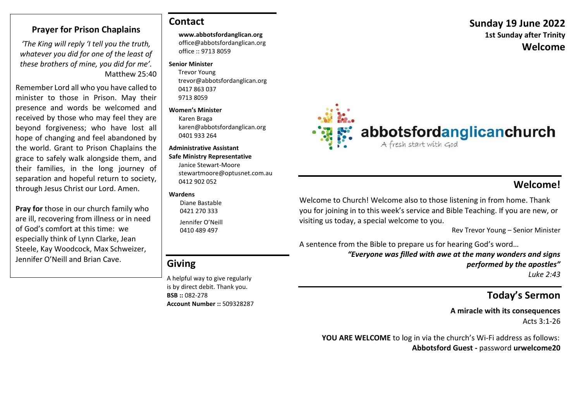### **Prayer for Prison Chaplains**

*'The King will reply 'I tell you the truth, whatever you did for one of the least of these brothers of mine, you did for me'.* Matthew 25:40

Remember Lord all who you have called to minister to those in Prison. May their presence and words be welcomed and received by those who may feel they are beyond forgiveness; who have lost all hope of changing and feel abandoned by the world. Grant to Prison Chaplains the grace to safely walk alongside them, and their families, in the long journey of separation and hopeful return to society, through Jesus Christ our Lord. Amen.

**Pray for** those in our church family who are ill, recovering from illness or in need of God's comfort at this time: we especially think of Lynn Clarke, Jean Steele, Kay Woodcock, Max Schweizer, Jennifer O'Neill and Brian Cave.

### **Contact**

#### **www.abbotsfordanglican.org**

office@abbotsfordanglican.org office :: 9713 8059

#### **Senior Minister**

 Trevor Young trevor@abbotsfordanglican.org 0417 863 037 9713 8059

#### **Women's Minister**

Karen Braga karen@abbotsfordanglican.org 0401 933 264

#### **Administrative Assistant**

### **Safe Ministry Representative** Janice Stewart-Moore

stewartmoore@optusnet.com.au 0412 902 052

#### **Wardens**

 Diane Bastable 0421 270 333 Jennifer O'Neill 0410 489 497

# **Giving**

A helpful way to give regularly is by direct debit. Thank you. **BSB ::** 082-278 **Account Number ::** 509328287



# **Welcome!**

Welcome to Church! Welcome also to those listening in from home. Thank you for joining in to this week's service and Bible Teaching. If you are new, or visiting us today, a special welcome to you.

Rev Trevor Young – Senior Minister

A sentence from the Bible to prepare us for hearing God's word…

*"Everyone was filled with awe at the many wonders and signs performed by the apostles" Luke 2:43*

# **Today's Sermon**

**A miracle with its consequences** Acts 3:1-26

 **YOU ARE WELCOME** to log in via the church's Wi-Fi address as follows: **Abbotsford Guest -** password **urwelcome20**

# **Sunday 19 June 2022 1st Sunday after Trinity Welcome**